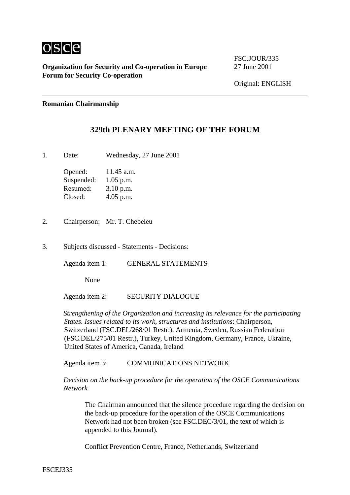

**Organization for Security and Co-operation in Europe** 27 June 2001 **Forum for Security Co-operation**

FSC.JOUR/335

## **Romanian Chairmanship**

## **329th PLENARY MEETING OF THE FORUM**

1. Date: Wednesday, 27 June 2001

Opened: 11.45 a.m. Suspended: 1.05 p.m. Resumed: 3.10 p.m. Closed: 4.05 p.m.

- 2. Chairperson: Mr. T. Chebeleu
- 3. Subjects discussed Statements Decisions:

Agenda item 1: GENERAL STATEMENTS

None

Agenda item 2: SECURITY DIALOGUE

*Strengthening of the Organization and increasing its relevance for the participating States. Issues related to its work, structures and institutions*: Chairperson, Switzerland (FSC.DEL/268/01 Restr.), Armenia, Sweden, Russian Federation (FSC.DEL/275/01 Restr.), Turkey, United Kingdom, Germany, France, Ukraine, United States of America, Canada, Ireland

Agenda item 3: COMMUNICATIONS NETWORK

*Decision on the back-up procedure for the operation of the OSCE Communications Network*

The Chairman announced that the silence procedure regarding the decision on the back-up procedure for the operation of the OSCE Communications Network had not been broken (see FSC.DEC/3/01, the text of which is appended to this Journal).

Conflict Prevention Centre, France, Netherlands, Switzerland